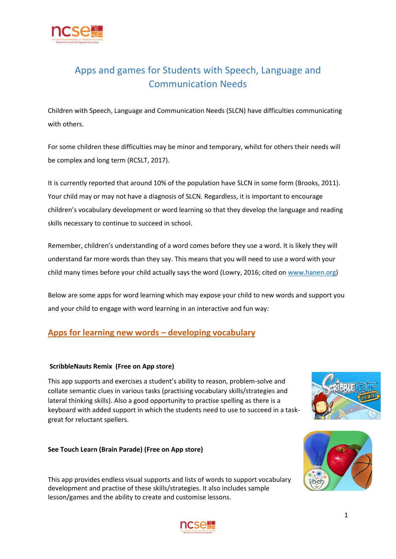

# Apps and games for Students with Speech, Language and Communication Needs

Children with Speech, Language and Communication Needs (SLCN) have difficulties communicating with others.

For some children these difficulties may be minor and temporary, whilst for others their needs will be complex and long term (RCSLT, 2017).

It is currently reported that around 10% of the population have SLCN in some form (Brooks, 2011). Your child may or may not have a diagnosis of SLCN. Regardless, it is important to encourage children's vocabulary development or word learning so that they develop the language and reading skills necessary to continue to succeed in school.

Remember, children's understanding of a word comes before they use a word. It is likely they will understand far more words than they say. This means that you will need to use a word with your child many times before your child actually says the word (Lowry, 2016; cited on [www.hanen.org\)](http://www.hanen.org/)

Below are some apps for word learning which may expose your child to new words and support you and your child to engage with word learning in an interactive and fun way:

# **Apps for learning new words – developing vocabulary**

### **ScribbleNauts Remix (Free on App store)**

This app supports and exercises a student's ability to reason, problem-solve and collate semantic clues in various tasks (practising vocabulary skills/strategies and lateral thinking skills). Also a good opportunity to practise spelling as there is a keyboard with added support in which the students need to use to succeed in a taskgreat for reluctant spellers.



### **See Touch Learn (Brain Parade) (Free on App store)**

This app provides endless visual supports and lists of words to support vocabulary development and practise of these skills/strategies. It also includes sample lesson/games and the ability to create and customise lessons.

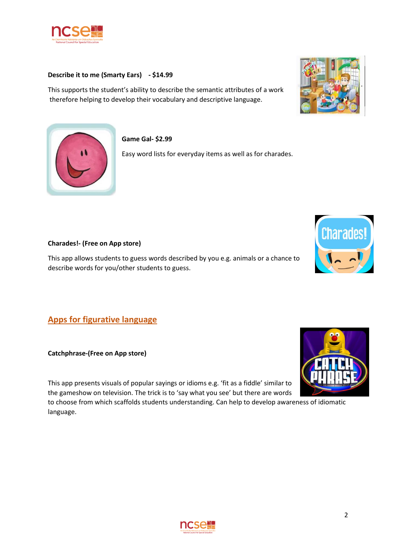

### **Describe it to me (Smarty Ears) - \$14.99**

This supports the student's ability to describe the semantic attributes of a work therefore helping to develop their vocabulary and descriptive language.





### **Game Gal- \$2.99**

Easy word lists for everyday items as well as for charades.

### **Charades!- (Free on App store)**

This app allows students to guess words described by you e.g. animals or a chance to describe words for you/other students to guess.

**Apps for figurative language**

**Catchphrase-(Free on App store)**

This app presents visuals of popular sayings or idioms e.g. 'fit as a fiddle' similar to the gameshow on television. The trick is to 'say what you see' but there are words

to choose from which scaffolds students understanding. Can help to develop awareness of idiomatic language.





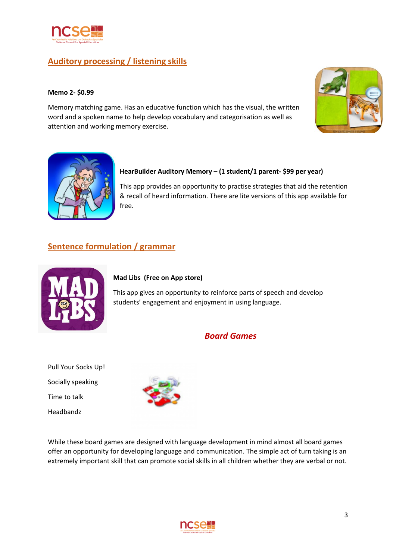

# **Auditory processing / listening skills**

#### **Memo 2- \$0.99**

Memory matching game. Has an educative function which has the visual, the written word and a spoken name to help develop vocabulary and categorisation as well as attention and working memory exercise.





### **HearBuilder Auditory Memory – (1 student/1 parent- \$99 per year)**

This app provides an opportunity to practise strategies that aid the retention & recall of heard information. There are lite versions of this app available for free.

# **Sentence formulation / grammar**



### **Mad Libs (Free on App store)**

This app gives an opportunity to reinforce parts of speech and develop students' engagement and enjoyment in using language.

### *Board Games*

Pull Your Socks Up! Socially speaking Time to talk Headbandz



While these board games are designed with language development in mind almost all board games offer an opportunity for developing language and communication. The simple act of turn taking is an extremely important skill that can promote social skills in all children whether they are verbal or not.